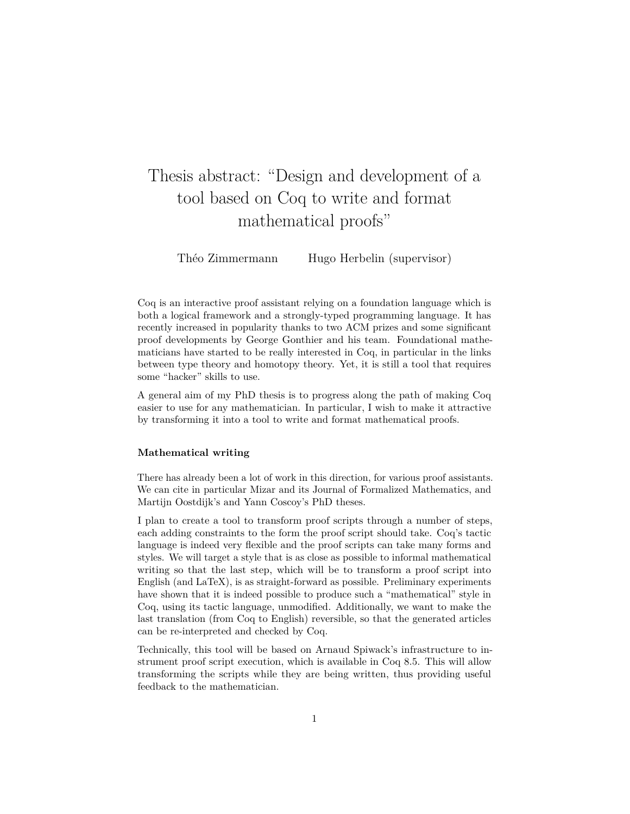## Thesis abstract: "Design and development of a tool based on Coq to write and format mathematical proofs"

Théo Zimmermann Hugo Herbelin (supervisor)

Coq is an interactive proof assistant relying on a foundation language which is both a logical framework and a strongly-typed programming language. It has recently increased in popularity thanks to two ACM prizes and some significant proof developments by George Gonthier and his team. Foundational mathematicians have started to be really interested in Coq, in particular in the links between type theory and homotopy theory. Yet, it is still a tool that requires some "hacker" skills to use.

A general aim of my PhD thesis is to progress along the path of making Coq easier to use for any mathematician. In particular, I wish to make it attractive by transforming it into a tool to write and format mathematical proofs.

## **Mathematical writing**

There has already been a lot of work in this direction, for various proof assistants. We can cite in particular Mizar and its Journal of Formalized Mathematics, and Martijn Oostdijk's and Yann Coscoy's PhD theses.

I plan to create a tool to transform proof scripts through a number of steps, each adding constraints to the form the proof script should take. Coq's tactic language is indeed very flexible and the proof scripts can take many forms and styles. We will target a style that is as close as possible to informal mathematical writing so that the last step, which will be to transform a proof script into English (and LaTeX), is as straight-forward as possible. Preliminary experiments have shown that it is indeed possible to produce such a "mathematical" style in Coq, using its tactic language, unmodified. Additionally, we want to make the last translation (from Coq to English) reversible, so that the generated articles can be re-interpreted and checked by Coq.

Technically, this tool will be based on Arnaud Spiwack's infrastructure to instrument proof script execution, which is available in Coq 8.5. This will allow transforming the scripts while they are being written, thus providing useful feedback to the mathematician.